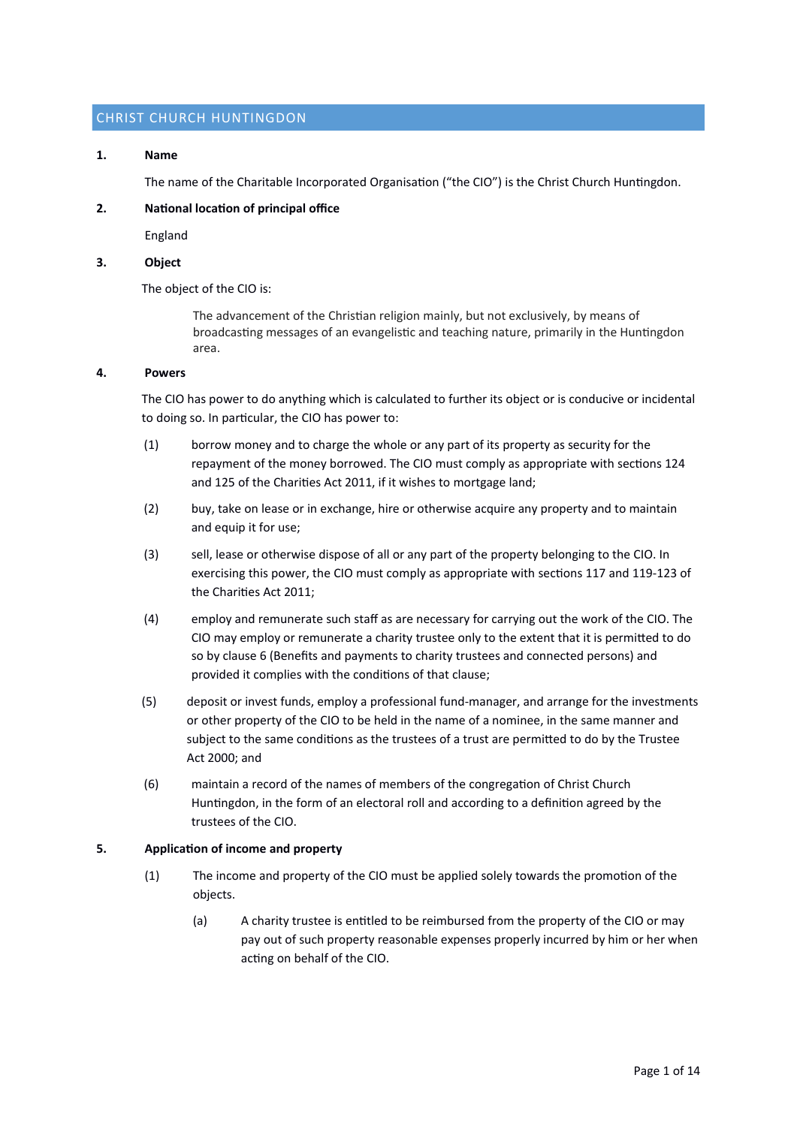# CHRIST CHURCH HUNTINGDON

#### **1. Name**

The name of the Charitable Incorporated Organisaton ("the CIO") is the Christ Church Huntngdon.

### **2. National location of principal office**

England

### **3. Objecat**

The object of the CIO is:

The advancement of the Christian religion mainly, but not exclusively, by means of broadcasting messages of an evangelistic and teaching nature, primarily in the Huntingdon area.

### **4. Powers**

The CIO has power to do anything which is calculated to further its object or is conducive or incidental to doing so. In particular, the CIO has power to:

- (1) borrow money and to charge the whole or any part of its property as security for the repayment of the money borrowed. The CIO must comply as appropriate with sectons 124 and 125 of the Charities Act 2011, if it wishes to mortgage land;
- (2) buy, take on lease or in exchange, hire or otherwise acquire any property and to maintain and equip it for use;
- (3) sell, lease or otherwise dispose of all or any part of the property belonging to the CIO. In exercising this power, the CIO must comply as appropriate with sectons 117 and 119-123 of the Charities Act 2011;
- (4) employ and remunerate such staf as are necessary for carrying out the work of the CIO. The CIO may employ or remunerate a charity trustee only to the extent that it is permited to do so by clause 6 (Benefts and payments to charity trustees and connected persons) and provided it complies with the conditons of that clause;
- (5) deposit or invest funds, employ a professional fund-manager, and arrange for the investments or other property of the CIO to be held in the name of a nominee, in the same manner and subject to the same conditons as the trustees of a trust are permited to do by the Trustee Act 2000; and
- (6) maintain a record of the names of members of the congregaton of Christ Church Huntingdon, in the form of an electoral roll and according to a definition agreed by the trustees of the CIO.

### **5. Application of income and property**

- (1) The income and property of the CIO must be applied solely towards the promoton of the objects.
	- (a) A charity trustee is entitled to be reimbursed from the property of the CIO or may pay out of such property reasonable expenses properly incurred by him or her when acting on behalf of the CIO.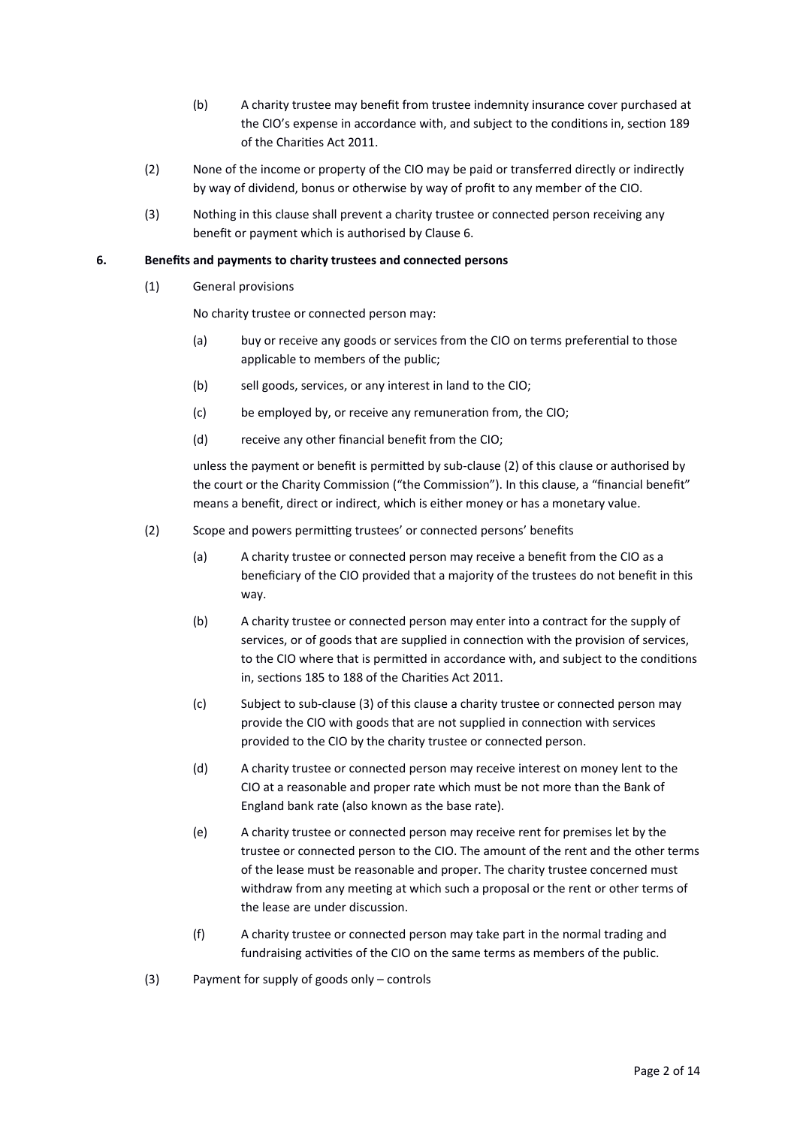- (b) A charity trustee may benefit from trustee indemnity insurance cover purchased at the CIO's expense in accordance with, and subject to the conditions in, section 189 of the Charities Act 2011.
- (2) None of the income or property of the CIO may be paid or transferred directly or indirectly by way of dividend, bonus or otherwise by way of proft to any member of the CIO.
- (3) Nothing in this clause shall prevent a charity trustee or connected person receiving any benefit or payment which is authorised by Clause 6.

#### **6.** Benefits and payments to charity trustees and connected persons

(1) General provisions

No charity trustee or connected person may:

- (a) buy or receive any goods or services from the CIO on terms preferental to those applicable to members of the public;
- (b) sell goods, services, or any interest in land to the CIO;
- (c) be employed by, or receive any remuneraton from, the CIO;
- (d) receive any other fnancial beneft from the CIO;

unless the payment or beneft is permited by sub-clause (2) of this clause or authorised by the court or the Charity Commission ("the Commission"). In this clause, a "fnancial beneft" means a beneft, direct or indirect, which is either money or has a monetary value.

- (2) Scope and powers permitting trustees' or connected persons' benefits
	- (a) charity trustee or connected person may receive a beneft from the CIO as a beneficiary of the CIO provided that a majority of the trustees do not benefit in this way.
	- (b) charity trustee or connected person may enter into a contract for the supply of services, or of goods that are supplied in connection with the provision of services, to the CIO where that is permited in accordance with, and subject to the conditons in, sections 185 to 188 of the Charities Act 2011.
	- (c) Subject to sub-clause (3) of this clause a charity trustee or connected person may provide the CIO with goods that are not supplied in connection with services provided to the CIO by the charity trustee or connected person.
	- (d) A charity trustee or connected person may receive interest on money lent to the CIO at a reasonable and proper rate which must be not more than the Bank of England bank rate (also known as the base rate).
	- (e) charity trustee or connected person may receive rent for premises let by the trustee or connected person to the CIO. The amount of the rent and the other terms of the lease must be reasonable and proper. The charity trustee concerned must withdraw from any meeting at which such a proposal or the rent or other terms of the lease are under discussion.
	- (f) charity trustee or connected person may take part in the normal trading and fundraising activities of the CIO on the same terms as members of the public.
- (3) Payment for supply of goods only controls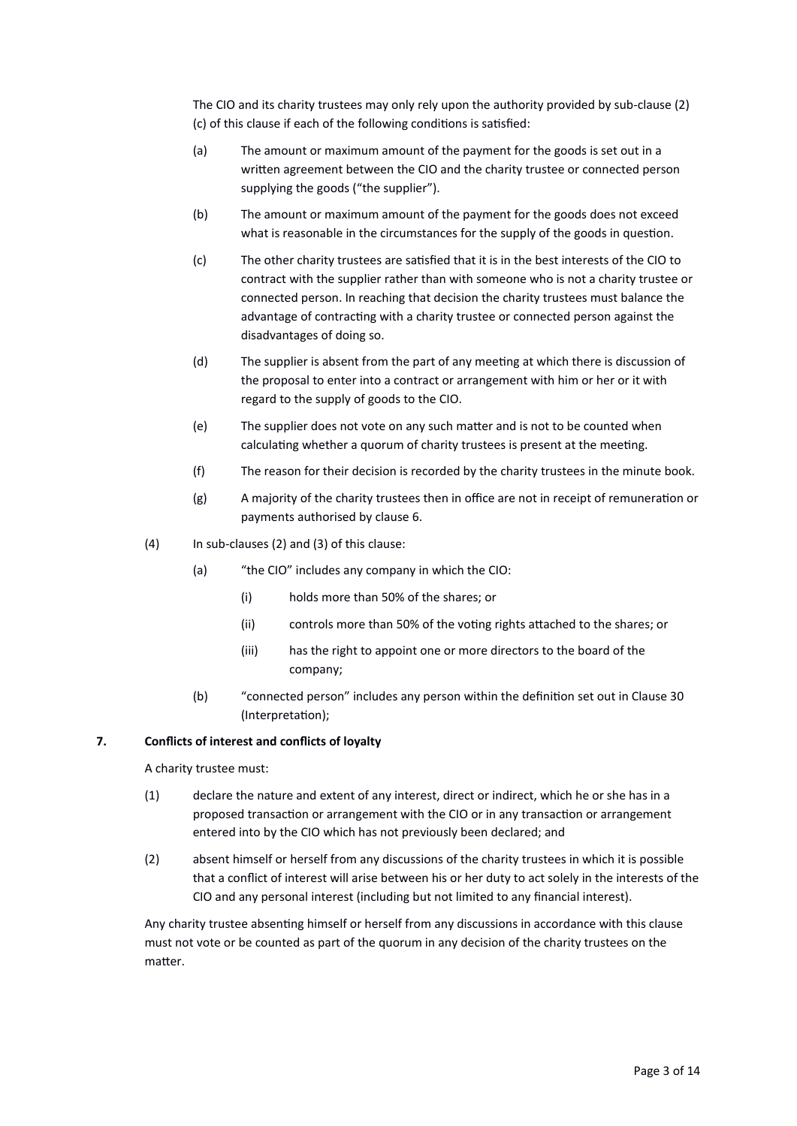The CIO and its charity trustees may only rely upon the authority provided by sub-clause (2) (c) of this clause if each of the following conditons is satsfed:

- (a) The amount or maximum amount of the payment for the goods is set out in a writen agreement between the CIO and the charity trustee or connected person supplying the goods ("the supplier").
- (b) The amount or maximum amount of the payment for the goods does not exceed what is reasonable in the circumstances for the supply of the goods in queston.
- (c) The other charity trustees are satsfed that it is in the best interests of the CIO to contract with the supplier rather than with someone who is not a charity trustee or connected person. In reaching that decision the charity trustees must balance the advantage of contracting with a charity trustee or connected person against the disadvantages of doing so.
- (d) The supplier is absent from the part of any meetng at which there is discussion of the proposal to enter into a contract or arrangement with him or her or it with regard to the supply of goods to the CIO.
- (e) The supplier does not vote on any such mater and is not to be counted when calculating whether a quorum of charity trustees is present at the meeting.
- (f) The reason for their decision is recorded by the charity trustees in the minute book.
- $(g)$  majority of the charity trustees then in office are not in receipt of remuneration or payments authorised by clause 6.
- (4) In sub-clauses (2) and (3) of this clause:
	- (a) "the CIO" includes any company in which the CIO:
		- (i) holds more than 50% of the shares; or
		- (ii) controls more than 50% of the voting rights attached to the shares; or
		- (iii) has the right to appoint one or more directors to the board of the company;
	- (b) "connected person" includes any person within the definition set out in Clause 30 (Interpretation);

# **7. Conflicts of interest and conflicts of loyalty**

A charity trustee must:

- (1) declare the nature and extent of any interest, direct or indirect, which he or she has in a proposed transaction or arrangement with the CIO or in any transaction or arrangement entered into by the CIO which has not previously been declared; and
- (2) absent himself or herself from any discussions of the charity trustees in which it is possible that a confict of interest will arise between his or her duty to act solely in the interests of the CIO and any personal interest (including but not limited to any fnancial interest).

 ny charity trustee absentng himself or herself from any discussions in accordance with this clause must not vote or be counted as part of the quorum in any decision of the charity trustees on the matter.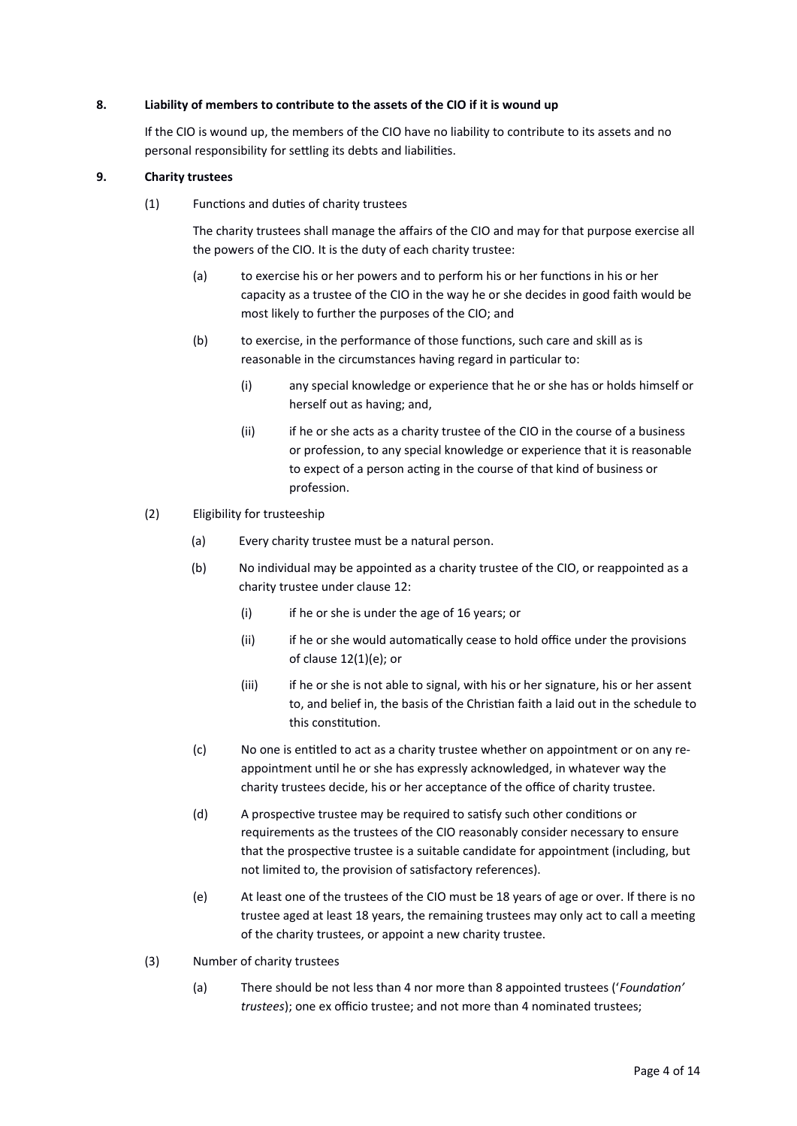### 8. Liability of members to contribute to the assets of the CIO if it is wound up

If the CIO is wound up, the members of the CIO have no liability to contribute to its assets and no personal responsibility for setling its debts and liabilites.

#### **9. Charity trustees**

(1) Functions and duties of charity trustees

The charity trustees shall manage the affairs of the CIO and may for that purpose exercise all the powers of the CIO. It is the duty of each charity trustee:

- (a) to exercise his or her powers and to perform his or her functions in his or her capacity as a trustee of the CIO in the way he or she decides in good faith would be most likely to further the purposes of the CIO; and
- (b) to exercise, in the performance of those functions, such care and skill as is reasonable in the circumstances having regard in particular to:
	- (i) any special knowledge or experience that he or she has or holds himself or herself out as having; and,
	- (ii) if he or she acts as a charity trustee of the CIO in the course of a business or profession, to any special knowledge or experience that it is reasonable to expect of a person acting in the course of that kind of business or profession.
- (2) Eligibility for trusteeship
	- (a) Every charity trustee must be a natural person.
	- (b) No individual may be appointed as a charity trustee of the CIO, or reappointed as a charity trustee under clause [12:](#page-5-0)
		- (i) if he or she is under the age of 16 years; or
		- (ii) if he or she would automatically cease to hold office under the provisions of clause 12(1)(e); or
		- (iii) if he or she is not able to signal, with his or her signature, his or her assent to, and belief in, the basis of the Christan faith a laid out in the schedule to this constitution
	- (c) No one is enttled to act as a charity trustee whether on appointment or on any reappointment until he or she has expressly acknowledged, in whatever way the charity trustees decide, his or her acceptance of the office of charity trustee.
	- (d) A prospective trustee may be required to satisfy such other conditions or requirements as the trustees of the CIO reasonably consider necessary to ensure that the prospectve trustee is a suitable candidate for appointment (including, but not limited to, the provision of satsfactory references).
	- (e) t least one of the trustees of the CIO must be 18 years of age or over. If there is no trustee aged at least 18 years, the remaining trustees may only act to call a meetng of the charity trustees, or appoint a new charity trustee.
- (3) Number of charity trustees
	- (a) There should be not less than 4 nor more than 8 appointed trustees ('*Foundation' trustees*); one ex officio trustee; and not more than 4 nominated trustees;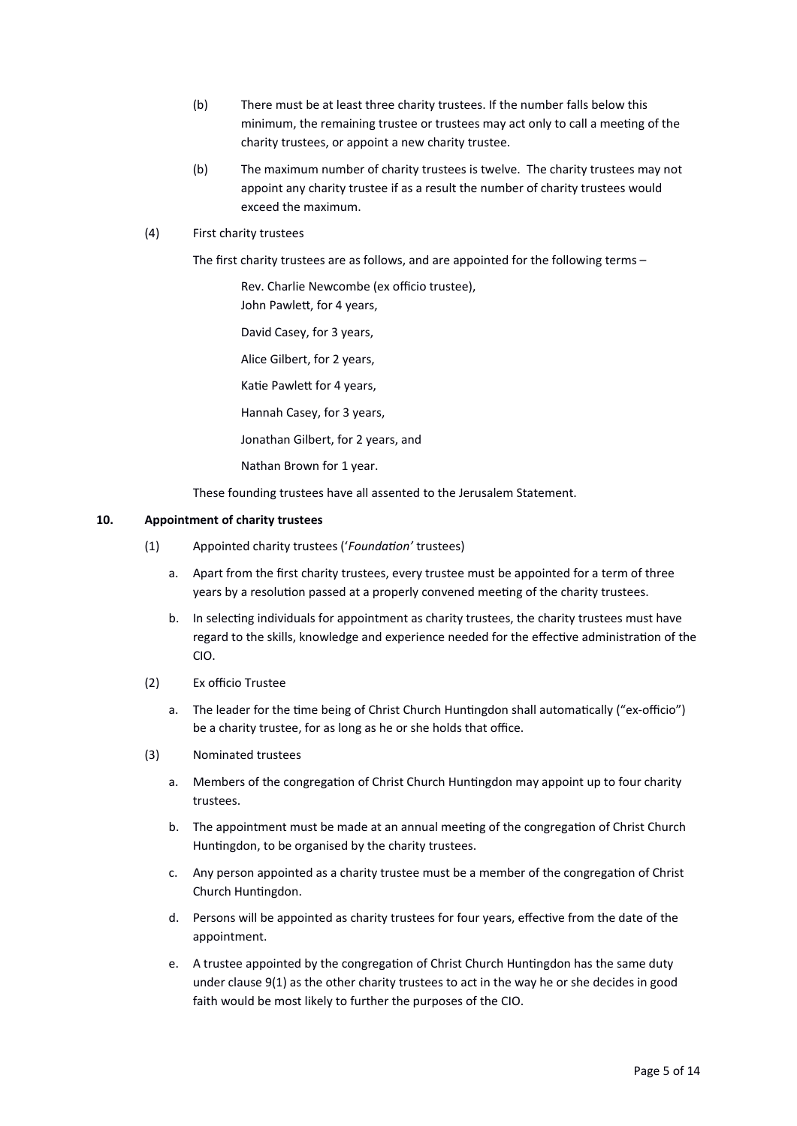- (b) There must be at least three charity trustees. If the number falls below this minimum, the remaining trustee or trustees may act only to call a meetng of the charity trustees, or appoint a new charity trustee.
- (b) The maximum number of charity trustees is twelve. The charity trustees may not appoint any charity trustee if as a result the number of charity trustees would exceed the maximum.

#### (4) First charity trustees

The first charity trustees are as follows, and are appointed for the following terms -

Rev. Charlie Newcombe (ex officio trustee). John Pawlet, for 4 years, David Casey, for 3 years, Alice Gilbert, for 2 years, Katie Pawlett for 4 years, Hannah Casey, for 3 years, Jonathan Gilbert, for 2 years, and Nathan Brown for 1 year.

These founding trustees have all assented to the Jerusalem Statement.

## 10. **Appointment of charity trustees**

- (1) ppointed charity trustees ('*Foundation'* trustees)
	- a. Apart from the first charity trustees, every trustee must be appointed for a term of three years by a resolution passed at a properly convened meeting of the charity trustees.
	- b. In selecting individuals for appointment as charity trustees, the charity trustees must have regard to the skills, knowledge and experience needed for the effective administration of the CIO.
- (2) Ex officio Trustee
	- a. The leader for the time being of Christ Church Huntingdon shall automatically ("ex-officio") be a charity trustee, for as long as he or she holds that office.
- (3) Nominated trustees
	- a. Members of the congregation of Christ Church Huntingdon may appoint up to four charity trustees.
	- b. The appointment must be made at an annual meetng of the congregaton of Christ Church Huntingdon, to be organised by the charity trustees.
	- c. Any person appointed as a charity trustee must be a member of the congregation of Christ Church Huntingdon.
	- d. Persons will be appointed as charity trustees for four years, effective from the date of the appointment.
	- e. A trustee appointed by the congregation of Christ Church Huntingdon has the same duty under clause 9(1) as the other charity trustees to act in the way he or she decides in good faith would be most likely to further the purposes of the CIO.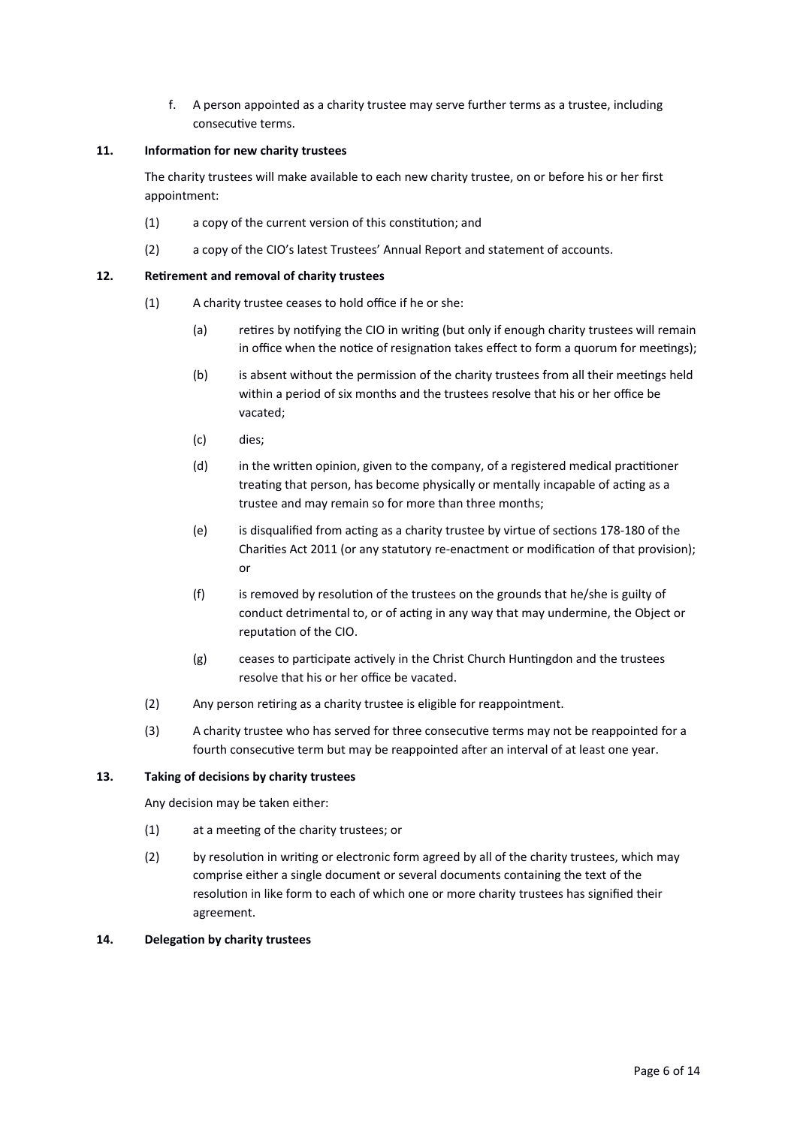f. A person appointed as a charity trustee may serve further terms as a trustee, including consecutive terms.

## 11. **Information for new charity trustees**

The charity trustees will make available to each new charity trustee, on or before his or her frst appointment:

- (1) a copy of the current version of this consttuton; and
- <span id="page-5-0"></span>(2) a copy of the CIO's latest Trustees' nnual Report and statement of accounts.

## 12. **Retirement and removal of charity trustees**

- $(1)$  charity trustee ceases to hold office if he or she:
	- (a) retres by notfying the CIO in writng (but only if enough charity trustees will remain in office when the notice of resignation takes effect to form a quorum for meetings);
	- (b) is absent without the permission of the charity trustees from all their meetngs held within a period of six months and the trustees resolve that his or her office be vacated;
	- (c) dies;
	- $(d)$  in the written opinion, given to the company, of a registered medical practitioner treating that person, has become physically or mentally incapable of acting as a trustee and may remain so for more than three months;
	- (e) is disqualified from acting as a charity trustee by virtue of sections 178-180 of the Charities Act 2011 (or any statutory re-enactment or modification of that provision); or
	- (f) is removed by resoluton of the trustees on the grounds that he/she is guilty of conduct detrimental to, or of acting in any way that may undermine, the Object or reputation of the CIO.
	- (g) ceases to partcipate actvely in the Christ Church Huntngdon and the trustees resolve that his or her office be vacated.
- (2) Any person retiring as a charity trustee is eligible for reappointment.
- (3) A charity trustee who has served for three consecutive terms may not be reappointed for a fourth consecutive term but may be reappointed after an interval of at least one year.

# 13. Taking of decisions by charity trustees

Any decision may be taken either:

- (1) at a meetng of the charity trustees; or
- (2) by resolution in writing or electronic form agreed by all of the charity trustees, which may comprise either a single document or several documents containing the text of the resolution in like form to each of which one or more charity trustees has signified their agreement.

### **14. Delegation by charity trustees**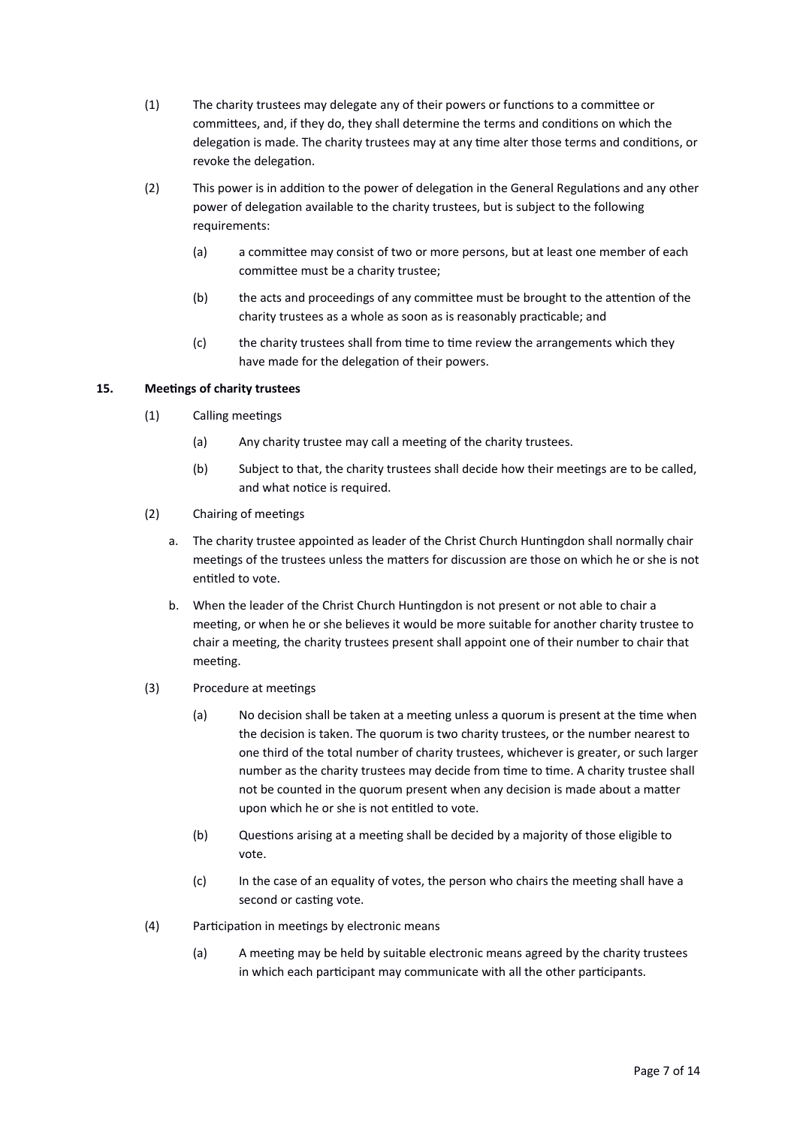- (1) The charity trustees may delegate any of their powers or functons to a commitee or commitees, and, if they do, they shall determine the terms and conditons on which the delegaton is made. The charity trustees may at any tme alter those terms and conditons, or revoke the delegation.
- (2) This power is in additon to the power of delegaton in the General Regulatons and any other power of delegation available to the charity trustees, but is subject to the following requirements:
	- (a) a commitee may consist of two or more persons, but at least one member of each commitee must be a charity trustee;
	- (b) the acts and proceedings of any commitee must be brought to the atenton of the charity trustees as a whole as soon as is reasonably practicable; and
	- (c) the charity trustees shall from tme to tme review the arrangements which they have made for the delegation of their powers.

### **15.** Meetings of charity trustees

- (1) Calling meetings
	- (a) Any charity trustee may call a meeting of the charity trustees.
	- (b) Subject to that, the charity trustees shall decide how their meetngs are to be called, and what notice is required.
- (2) Chairing of meetngs
	- a. The charity trustee appointed as leader of the Christ Church Huntngdon shall normally chair meetings of the trustees unless the matters for discussion are those on which he or she is not entitled to vote.
	- b. When the leader of the Christ Church Huntingdon is not present or not able to chair a meeting, or when he or she believes it would be more suitable for another charity trustee to chair a meeting, the charity trustees present shall appoint one of their number to chair that meeting.
- (3) Procedure at meetngs
	- (a) No decision shall be taken at a meetng unless a quorum is present at the tme when the decision is taken. The quorum is two charity trustees, or the number nearest to one third of the total number of charity trustees, whichever is greater, or such larger number as the charity trustees may decide from time to time. A charity trustee shall not be counted in the quorum present when any decision is made about a mater upon which he or she is not enttled to vote.
	- (b) Questions arising at a meeting shall be decided by a majority of those eligible to vote.
	- (c) In the case of an equality of votes, the person who chairs the meetng shall have a second or casting vote.
- (4) Participation in meetings by electronic means
	- (a) A meeting may be held by suitable electronic means agreed by the charity trustees in which each participant may communicate with all the other participants.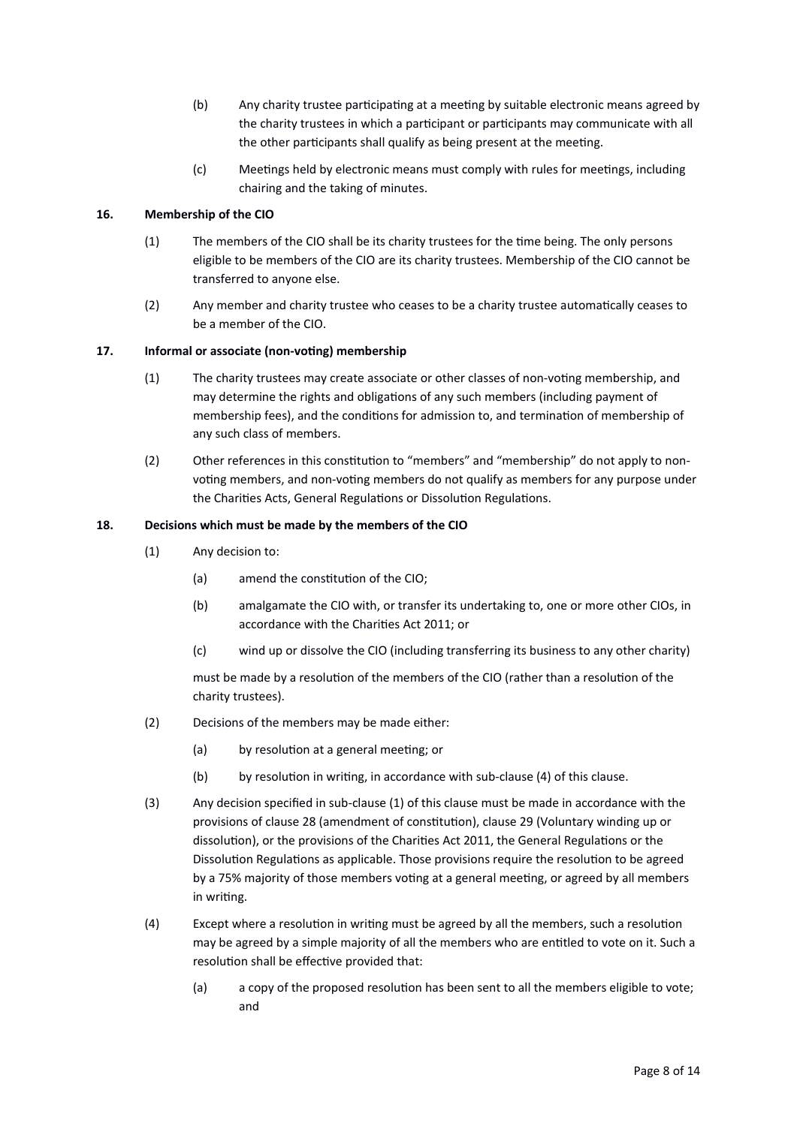- (b) Any charity trustee participating at a meeting by suitable electronic means agreed by the charity trustees in which a participant or participants may communicate with all the other participants shall qualify as being present at the meeting.
- (c) Meetngs held by electronic means must comply with rules for meetngs, including chairing and the taking of minutes.

## **16. Membershipa of the CIO**

- (1) The members of the CIO shall be its charity trustees for the tme being. The only persons eligible to be members of the CIO are its charity trustees. Membership of the CIO cannot be transferred to anyone else.
- (2) Any member and charity trustee who ceases to be a charity trustee automatically ceases to be a member of the CIO.

## 17. **Informal or associate (non-voting) membership**

- (1) The charity trustees may create associate or other classes of non-votng membership, and may determine the rights and obligatons of any such members (including payment of membership fees), and the conditions for admission to, and termination of membership of any such class of members.
- (2) Other references in this constitution to "members" and "membership" do not apply to nonvoting members, and non-voting members do not qualify as members for any purpose under the Charities Acts, General Regulations or Dissolution Regulations.

### 18. **Decisions which must be made by the members of the CIO**

- $(1)$  Any decision to:
	- (a) amend the constitution of the CIO;
	- (b) amalgamate the CIO with, or transfer its undertaking to, one or more other CIOs, in accordance with the Charities Act 2011; or
	- (c) wind up or dissolve the CIO (including transferring its business to any other charity)

must be made by a resolution of the members of the CIO (rather than a resolution of the charity trustees).

- (2) Decisions of the members may be made either:
	- (a) by resolution at a general meeting; or
	- (b) by resolution in writing, in accordance with sub-clause  $(4)$  of this clause.
- (3) Any decision specified in sub-clause (1) of this clause must be made in accordance with the provisions of clause 28 (amendment of consttuton), clause 29 (Voluntary winding up or dissolution), or the provisions of the Charities Act 2011, the General Regulations or the Dissolution Regulations as applicable. Those provisions require the resolution to be agreed by a 75% majority of those members voting at a general meeting, or agreed by all members in writing.
- (4) Except where a resoluton in writng must be agreed by all the members, such a resoluton may be agreed by a simple majority of all the members who are enttled to vote on it. Such a resolution shall be effective provided that:
	- (a) a copy of the proposed resoluton has been sent to all the members eligible to vote; and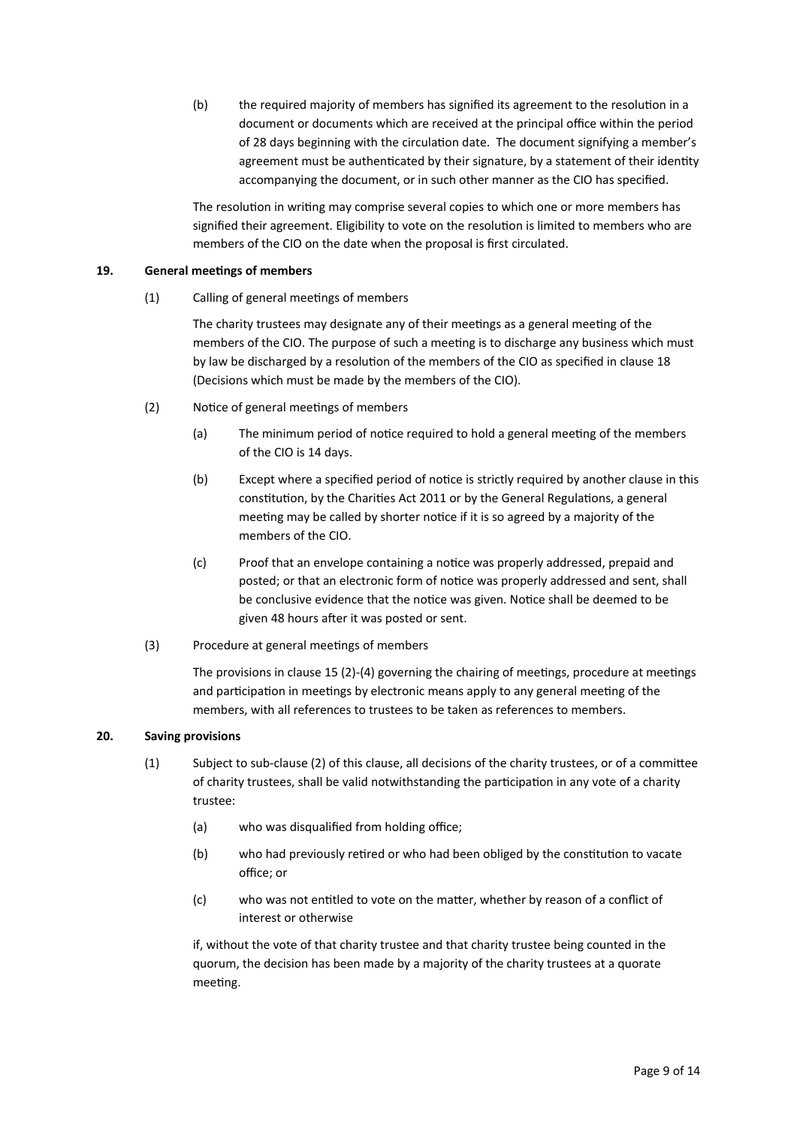(b) the required majority of members has signified its agreement to the resolution in a document or documents which are received at the principal office within the period of 28 days beginning with the circulaton date. The document signifying a member's agreement must be authenticated by their signature, by a statement of their identity accompanying the document, or in such other manner as the CIO has specifed.

The resolution in writing may comprise several copies to which one or more members has signified their agreement. Eligibility to vote on the resolution is limited to members who are members of the CIO on the date when the proposal is frst circulated.

## **19. General meetings of members**

(1) Calling of general meetngs of members

The charity trustees may designate any of their meetngs as a general meetng of the members of the CIO. The purpose of such a meetng is to discharge any business which must by law be discharged by a resolution of the members of the CIO as specified in clause 18 (Decisions which must be made by the members of the CIO).

- (2) Notice of general meetings of members
	- (a) The minimum period of notice required to hold a general meeting of the members of the CIO is 14 days.
	- (b) Except where a specified period of notice is strictly required by another clause in this constitution, by the Charities Act 2011 or by the General Regulations, a general meeting may be called by shorter notice if it is so agreed by a majority of the members of the CIO.
	- (c) Proof that an envelope containing a notce was properly addressed, prepaid and posted; or that an electronic form of notice was properly addressed and sent, shall be conclusive evidence that the notice was given. Notice shall be deemed to be given 48 hours after it was posted or sent.
- (3) Procedure at general meetngs of members

The provisions in clause 15 (2)-(4) governing the chairing of meetngs, procedure at meetngs and participation in meetings by electronic means apply to any general meeting of the members, with all references to trustees to be taken as references to members.

### **20.** Saving provisions

- (1) Subject to sub-clause (2) of this clause, all decisions of the charity trustees, or of a commitee of charity trustees, shall be valid notwithstanding the participation in any vote of a charity trustee:
	- $(a)$  who was disqualified from holding office;
	- (b) who had previously retired or who had been obliged by the constitution to vacate office; or
	- (c) who was not enttled to vote on the mater, whether by reason of a confict of interest or otherwise

if, without the vote of that charity trustee and that charity trustee being counted in the quorum, the decision has been made by a majority of the charity trustees at a quorate meeting.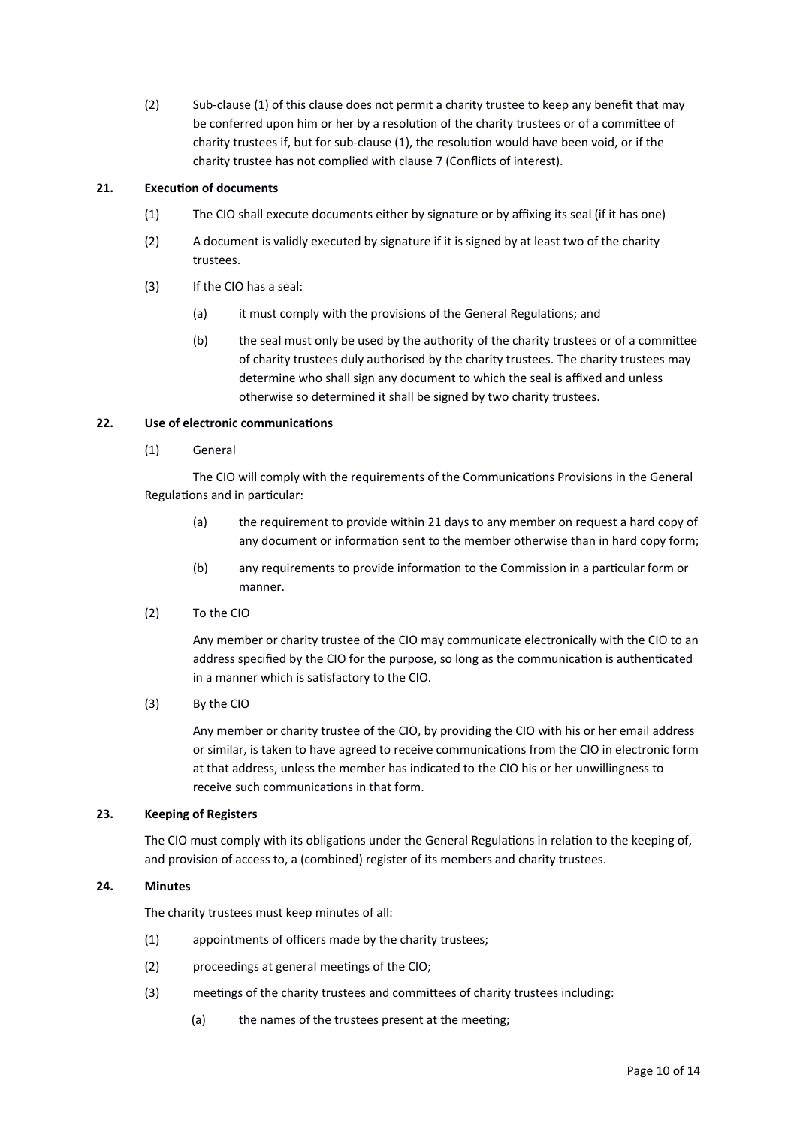(2) Sub-clause (1) of this clause does not permit a charity trustee to keep any beneft that may be conferred upon him or her by a resolution of the charity trustees or of a committee of charity trustees if, but for sub-clause (1), the resoluton would have been void, or if the charity trustee has not complied with clause 7 (Conficts of interest).

### **21. Execaution of docauments**

- (1) The CIO shall execute documents either by signature or by affixing its seal (if it has one)
- (2) A document is validly executed by signature if it is signed by at least two of the charity trustees.
- (3) If the CIO has a seal:
	- (a) it must comply with the provisions of the General Regulations; and
	- (b) the seal must only be used by the authority of the charity trustees or of a commitee of charity trustees duly authorised by the charity trustees. The charity trustees may determine who shall sign any document to which the seal is affixed and unless otherwise so determined it shall be signed by two charity trustees.

#### **22.** Use of electronic communications

(1) General

The CIO will comply with the requirements of the Communicatons Provisions in the General Regulations and in particular:

- (a) the requirement to provide within 21 days to any member on request a hard copy of any document or information sent to the member otherwise than in hard copy form;
- (b) any requirements to provide informaton to the Commission in a partcular form or manner.
- (2) To the CIO

 ny member or charity trustee of the CIO may communicate electronically with the CIO to an address specified by the CIO for the purpose, so long as the communication is authenticated in a manner which is satisfactory to the CIO.

(3) By the CIO

 ny member or charity trustee of the CIO, by providing the CIO with his or her email address or similar, is taken to have agreed to receive communications from the CIO in electronic form at that address, unless the member has indicated to the CIO his or her unwillingness to receive such communicatons in that form.

#### **23. Keeping of Registers**

The CIO must comply with its obligations under the General Regulations in relation to the keeping of, and provision of access to, a (combined) register of its members and charity trustees.

#### **24. Minutes**

The charity trustees must keep minutes of all:

- $(1)$  appointments of officers made by the charity trustees;
- (2) proceedings at general meetngs of the CIO;
- (3) meetngs of the charity trustees and commitees of charity trustees including:
	- (a) the names of the trustees present at the meeting;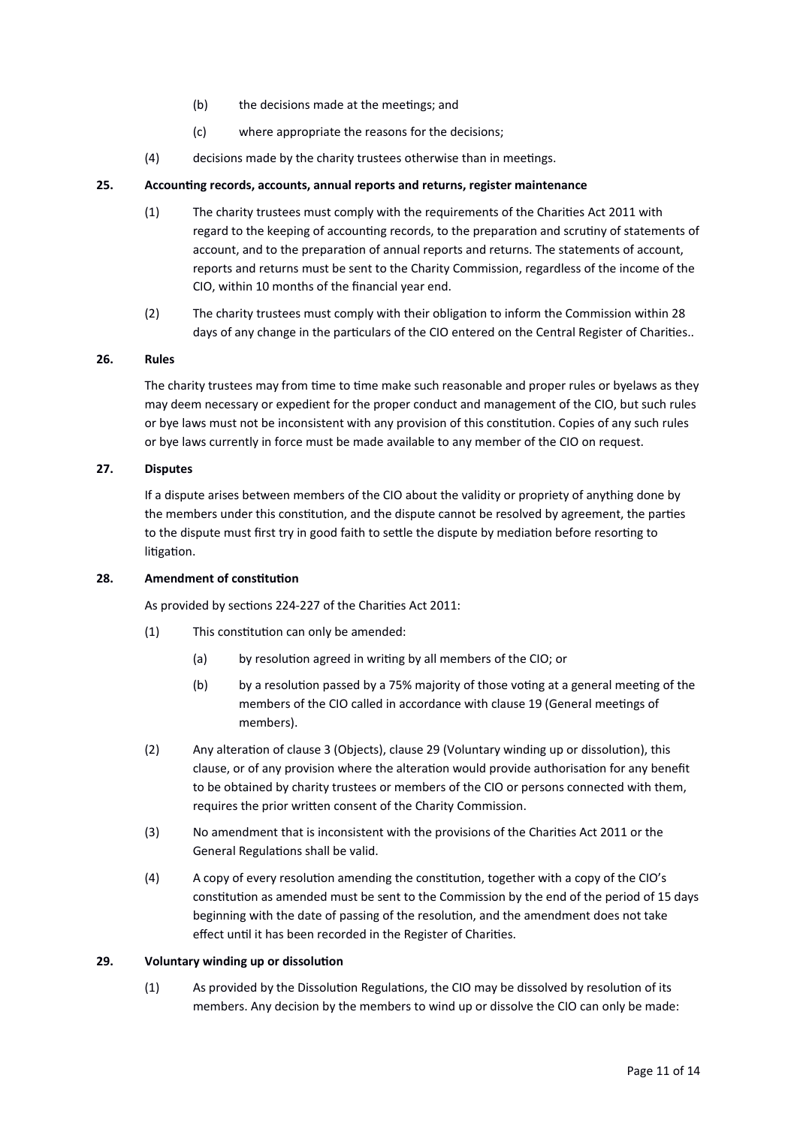- (b) the decisions made at the meetings; and
- (c) where appropriate the reasons for the decisions;
- (4) decisions made by the charity trustees otherwise than in meetngs.

## 25. Accounting records, accounts, annual reports and returns, register maintenance

- (1) The charity trustees must comply with the requirements of the Charities Act 2011 with regard to the keeping of accounting records, to the preparation and scrutiny of statements of account, and to the preparation of annual reports and returns. The statements of account, reports and returns must be sent to the Charity Commission, regardless of the income of the CIO, within 10 months of the fnancial year end.
- (2) The charity trustees must comply with their obligaton to inform the Commission within 28 days of any change in the particulars of the CIO entered on the Central Register of Charities..

### **26. Rules**

The charity trustees may from time to time make such reasonable and proper rules or byelaws as they may deem necessary or expedient for the proper conduct and management of the CIO, but such rules or bye laws must not be inconsistent with any provision of this consttuton. Copies of any such rules or bye laws currently in force must be made available to any member of the CIO on request.

### **27. Dispautes**

If a dispute arises between members of the CIO about the validity or propriety of anything done by the members under this constitution, and the dispute cannot be resolved by agreement, the parties to the dispute must first try in good faith to settle the dispute by mediation before resorting to litigation.

### **28.** Amendment of constitution

As provided by sections 224-227 of the Charities Act 2011:

- (1) This consttuton can only be amended:
	- (a) by resolution agreed in writing by all members of the CIO; or
	- (b) by a resolution passed by a 75% majority of those voting at a general meeting of the members of the CIO called in accordance with clause 19 (General meetngs of members).
- (2) Any alteration of clause 3 (Objects), clause 29 (Voluntary winding up or dissolution), this clause, or of any provision where the alteration would provide authorisation for any benefit to be obtained by charity trustees or members of the CIO or persons connected with them, requires the prior writen consent of the Charity Commission.
- (3) No amendment that is inconsistent with the provisions of the Charities Act 2011 or the General Regulations shall be valid.
- (4) A copy of every resolution amending the constitution, together with a copy of the CIO's consttuton as amended must be sent to the Commission by the end of the period of 15 days beginning with the date of passing of the resoluton, and the amendment does not take effect until it has been recorded in the Register of Charities.

## **29.** Voluntary winding up or dissolution

(1) As provided by the Dissolution Regulations, the CIO may be dissolved by resolution of its members. Any decision by the members to wind up or dissolve the CIO can only be made: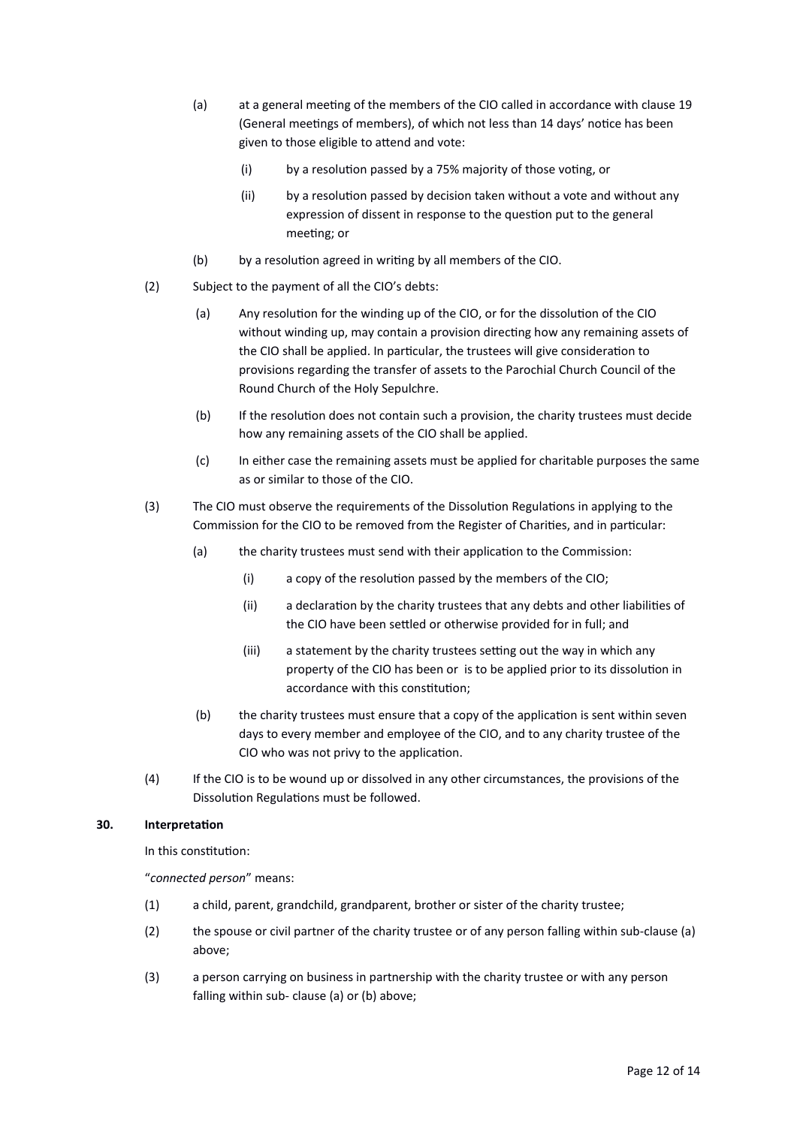- (a) at a general meetng of the members of the CIO called in accordance with clause 19 (General meetings of members), of which not less than 14 days' notice has been given to those eligible to attend and vote:
	- (i) by a resolution passed by a 75% majority of those voting, or
	- (ii) by a resolution passed by decision taken without a vote and without any expression of dissent in response to the queston put to the general meeting; or
- (b) by a resolution agreed in writing by all members of the CIO.
- (2) Subject to the payment of all the CIO's debts:
	- (a) Any resolution for the winding up of the CIO, or for the dissolution of the CIO without winding up, may contain a provision directing how any remaining assets of the CIO shall be applied. In particular, the trustees will give consideration to provisions regarding the transfer of assets to the Parochial Church Council of the Round Church of the Holy Sepulchre.
	- (b) If the resolution does not contain such a provision, the charity trustees must decide how any remaining assets of the CIO shall be applied.
	- (c) In either case the remaining assets must be applied for charitable purposes the same as or similar to those of the CIO.
- (3) The CIO must observe the requirements of the Dissoluton Regulatons in applying to the Commission for the CIO to be removed from the Register of Charites, and in partcular:
	- (a) the charity trustees must send with their application to the Commission:
		- (i) a copy of the resolution passed by the members of the CIO;
		- (ii) a declaraton by the charity trustees that any debts and other liabilites of the CIO have been settled or otherwise provided for in full; and
		- (iii) a statement by the charity trustees setting out the way in which any property of the CIO has been or is to be applied prior to its dissoluton in accordance with this constitution;
	- (b) the charity trustees must ensure that a copy of the applicaton is sent within seven days to every member and employee of the CIO, and to any charity trustee of the CIO who was not privy to the application.
- (4) If the CIO is to be wound up or dissolved in any other circumstances, the provisions of the Dissolution Regulations must be followed.

## **30.** Interpretation

In this constitution:

"*connected person*" means:

- (1) a child, parent, grandchild, grandparent, brother or sister of the charity trustee;
- (2) the spouse or civil partner of the charity trustee or of any person falling within sub-clause (a) above;
- (3) a person carrying on business in partnership with the charity trustee or with any person falling within sub- clause (a) or (b) above;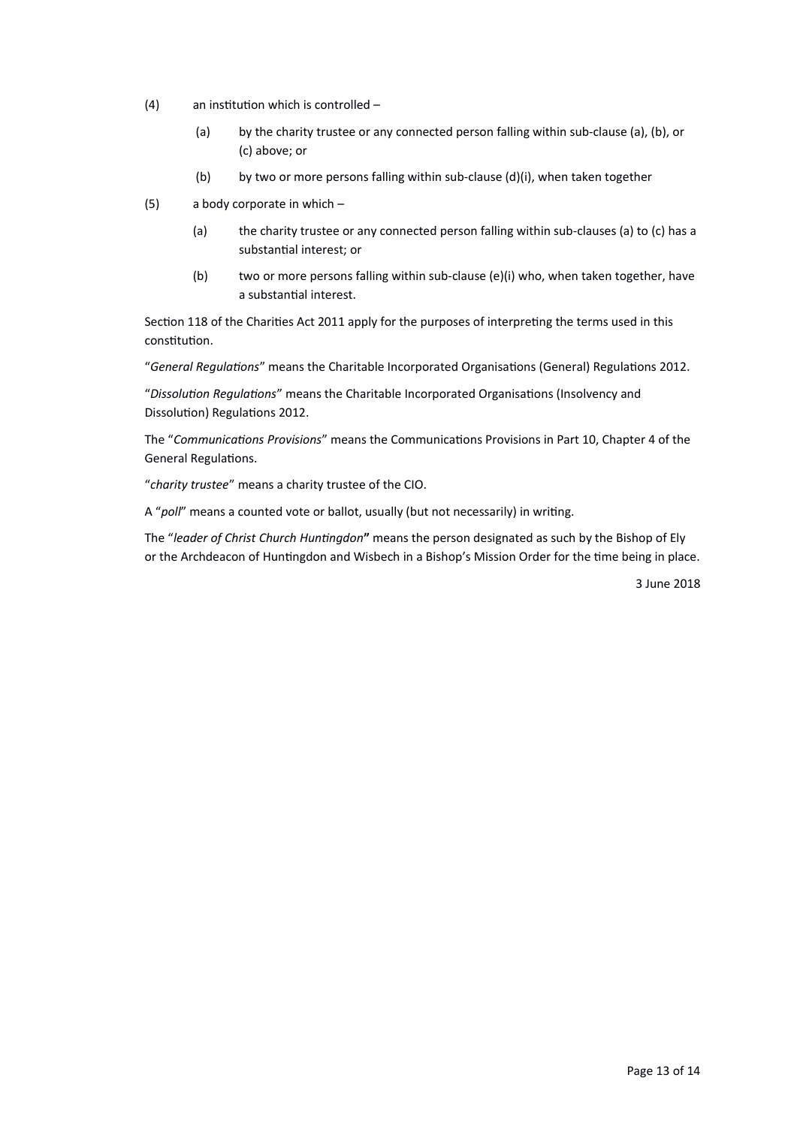- $(4)$  an institution which is controlled
	- (a) by the charity trustee or any connected person falling within sub-clause (a), (b), or (c) above; or
	- (b) by two or more persons falling within sub-clause (d)(i), when taken together
- (5) a body corporate in which
	- (a) the charity trustee or any connected person falling within sub-clauses (a) to (c) has a substantial interest; or
	- (b) two or more persons falling within sub-clause (e)(i) who, when taken together, have a substantial interest.

Section 118 of the Charities Act 2011 apply for the purposes of interpreting the terms used in this constitution.

"*General Regulations*" means the Charitable Incorporated Organisatons (General) Regulatons 2012.

"*Dissolution Regulations*" means the Charitable Incorporated Organisatons (Insolvency and Dissolution) Regulations 2012.

The "*Communications Provisions*" means the Communicatons Provisions in Part 10, Chapter 4 of the General Regulations.

"*charity trustee*" means a charity trustee of the CIO.

A "poll" means a counted vote or ballot, usually (but not necessarily) in writing.

The "*leader of Christ Church Huntingdon***"** means the person designated as such by the Bishop of Ely or the Archdeacon of Huntingdon and Wisbech in a Bishop's Mission Order for the time being in place.

3 June 2018